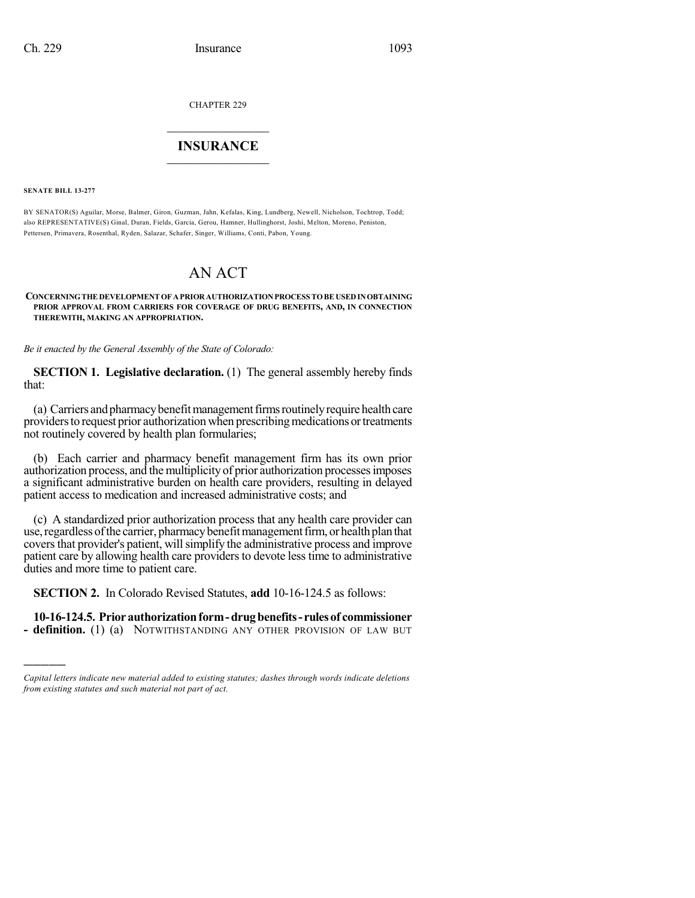CHAPTER 229

## $\overline{\phantom{a}}$  . The set of the set of the set of the set of the set of the set of the set of the set of the set of the set of the set of the set of the set of the set of the set of the set of the set of the set of the set o **INSURANCE**  $\frac{1}{2}$  ,  $\frac{1}{2}$  ,  $\frac{1}{2}$  ,  $\frac{1}{2}$  ,  $\frac{1}{2}$  ,  $\frac{1}{2}$  ,  $\frac{1}{2}$

**SENATE BILL 13-277**

)))))

BY SENATOR(S) Aguilar, Morse, Balmer, Giron, Guzman, Jahn, Kefalas, King, Lundberg, Newell, Nicholson, Tochtrop, Todd; also REPRESENTATIVE(S) Ginal, Duran, Fields, Garcia, Gerou, Hamner, Hullinghorst, Joshi, Melton, Moreno, Peniston, Pettersen, Primavera, Rosenthal, Ryden, Salazar, Schafer, Singer, Williams, Conti, Pabon, Young.

## AN ACT

**CONCERNINGTHE DEVELOPMENT OF APRIORAUTHORIZATIONPROCESS TOBE USEDINOBTAINING PRIOR APPROVAL FROM CARRIERS FOR COVERAGE OF DRUG BENEFITS, AND, IN CONNECTION THEREWITH, MAKING AN APPROPRIATION.**

*Be it enacted by the General Assembly of the State of Colorado:*

**SECTION 1. Legislative declaration.** (1) The general assembly hereby finds that:

(a) Carriers and pharmacy benefit management firms routinely require health care providers to request prior authorization when prescribing medications or treatments not routinely covered by health plan formularies;

(b) Each carrier and pharmacy benefit management firm has its own prior authorization process, and themultiplicity of prior authorization processesimposes a significant administrative burden on health care providers, resulting in delayed patient access to medication and increased administrative costs; and

(c) A standardized prior authorization process that any health care provider can use, regardless of the carrier, pharmacy benefit management firm, or health plan that coversthat provider's patient, willsimplify the administrative process and improve patient care by allowing health care providers to devote less time to administrative duties and more time to patient care.

**SECTION 2.** In Colorado Revised Statutes, **add** 10-16-124.5 as follows:

**10-16-124.5. Priorauthorizationform-drugbenefits- rulesof commissioner - definition.** (1) (a) NOTWITHSTANDING ANY OTHER PROVISION OF LAW BUT

*Capital letters indicate new material added to existing statutes; dashes through words indicate deletions from existing statutes and such material not part of act.*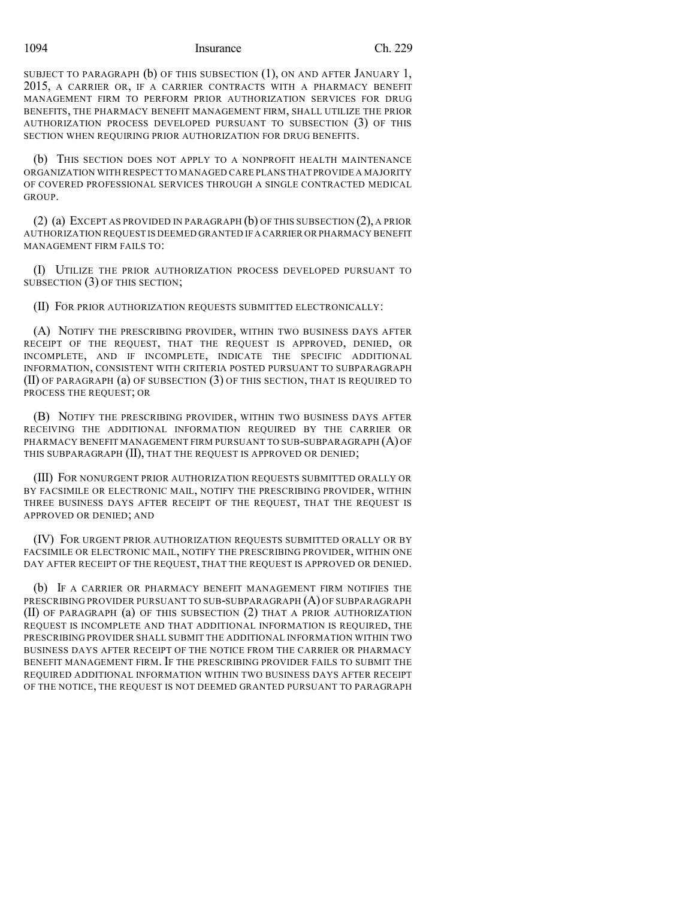1094 Insurance Ch. 229

SUBJECT TO PARAGRAPH (b) OF THIS SUBSECTION (1), ON AND AFTER JANUARY 1, 2015, A CARRIER OR, IF A CARRIER CONTRACTS WITH A PHARMACY BENEFIT MANAGEMENT FIRM TO PERFORM PRIOR AUTHORIZATION SERVICES FOR DRUG BENEFITS, THE PHARMACY BENEFIT MANAGEMENT FIRM, SHALL UTILIZE THE PRIOR AUTHORIZATION PROCESS DEVELOPED PURSUANT TO SUBSECTION (3) OF THIS SECTION WHEN REQUIRING PRIOR AUTHORIZATION FOR DRUG BENEFITS.

(b) THIS SECTION DOES NOT APPLY TO A NONPROFIT HEALTH MAINTENANCE ORGANIZATION WITH RESPECT TO MANAGED CARE PLANS THAT PROVIDE A MAJORITY OF COVERED PROFESSIONAL SERVICES THROUGH A SINGLE CONTRACTED MEDICAL **GROUP.** 

(2) (a) EXCEPT AS PROVIDED IN PARAGRAPH (b) OF THIS SUBSECTION (2), A PRIOR AUTHORIZATION REQUEST IS DEEMED GRANTED IF A CARRIER OR PHARMACY BENEFIT MANAGEMENT FIRM FAILS TO:

(I) UTILIZE THE PRIOR AUTHORIZATION PROCESS DEVELOPED PURSUANT TO SUBSECTION (3) OF THIS SECTION;

(II) FOR PRIOR AUTHORIZATION REQUESTS SUBMITTED ELECTRONICALLY:

(A) NOTIFY THE PRESCRIBING PROVIDER, WITHIN TWO BUSINESS DAYS AFTER RECEIPT OF THE REQUEST, THAT THE REQUEST IS APPROVED, DENIED, OR INCOMPLETE, AND IF INCOMPLETE, INDICATE THE SPECIFIC ADDITIONAL INFORMATION, CONSISTENT WITH CRITERIA POSTED PURSUANT TO SUBPARAGRAPH (II) OF PARAGRAPH (a) OF SUBSECTION (3) OF THIS SECTION, THAT IS REQUIRED TO PROCESS THE REQUEST; OR

(B) NOTIFY THE PRESCRIBING PROVIDER, WITHIN TWO BUSINESS DAYS AFTER RECEIVING THE ADDITIONAL INFORMATION REQUIRED BY THE CARRIER OR PHARMACY BENEFIT MANAGEMENT FIRM PURSUANT TO SUB-SUBPARAGRAPH (A) OF THIS SUBPARAGRAPH (II), THAT THE REQUEST IS APPROVED OR DENIED;

(III) FOR NONURGENT PRIOR AUTHORIZATION REQUESTS SUBMITTED ORALLY OR BY FACSIMILE OR ELECTRONIC MAIL, NOTIFY THE PRESCRIBING PROVIDER, WITHIN THREE BUSINESS DAYS AFTER RECEIPT OF THE REQUEST, THAT THE REQUEST IS APPROVED OR DENIED; AND

(IV) FOR URGENT PRIOR AUTHORIZATION REQUESTS SUBMITTED ORALLY OR BY FACSIMILE OR ELECTRONIC MAIL, NOTIFY THE PRESCRIBING PROVIDER, WITHIN ONE DAY AFTER RECEIPT OF THE REQUEST, THAT THE REQUEST IS APPROVED OR DENIED.

(b) IF A CARRIER OR PHARMACY BENEFIT MANAGEMENT FIRM NOTIFIES THE PRESCRIBING PROVIDER PURSUANT TO SUB-SUBPARAGRAPH (A) OF SUBPARAGRAPH (II) OF PARAGRAPH (a) OF THIS SUBSECTION (2) THAT A PRIOR AUTHORIZATION REQUEST IS INCOMPLETE AND THAT ADDITIONAL INFORMATION IS REQUIRED, THE PRESCRIBING PROVIDER SHALL SUBMIT THE ADDITIONAL INFORMATION WITHIN TWO BUSINESS DAYS AFTER RECEIPT OF THE NOTICE FROM THE CARRIER OR PHARMACY BENEFIT MANAGEMENT FIRM. IF THE PRESCRIBING PROVIDER FAILS TO SUBMIT THE REQUIRED ADDITIONAL INFORMATION WITHIN TWO BUSINESS DAYS AFTER RECEIPT OF THE NOTICE, THE REQUEST IS NOT DEEMED GRANTED PURSUANT TO PARAGRAPH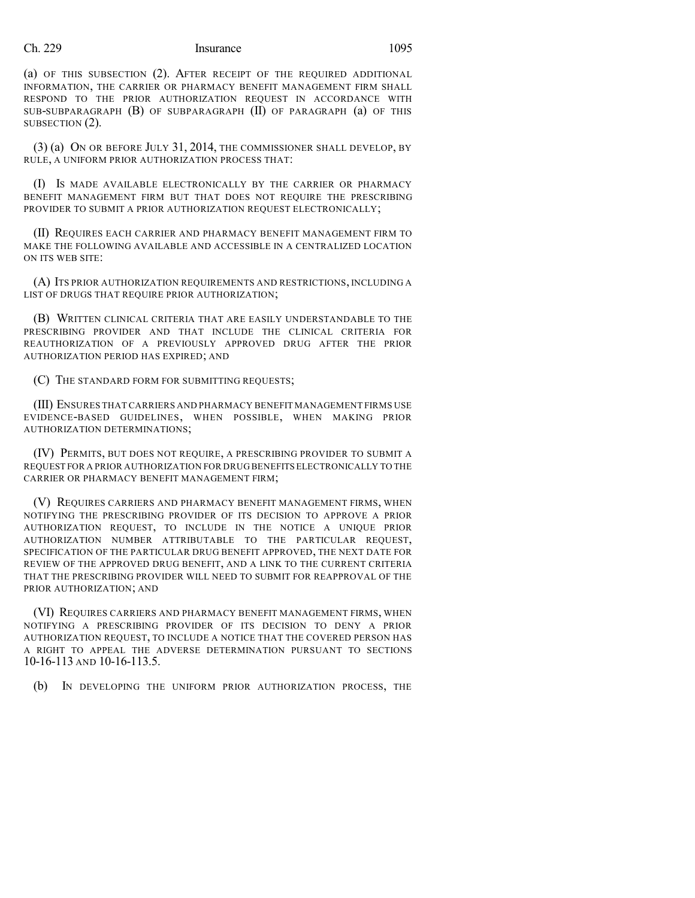## Ch. 229 Insurance 1095

(a) OF THIS SUBSECTION (2). AFTER RECEIPT OF THE REQUIRED ADDITIONAL INFORMATION, THE CARRIER OR PHARMACY BENEFIT MANAGEMENT FIRM SHALL RESPOND TO THE PRIOR AUTHORIZATION REQUEST IN ACCORDANCE WITH SUB-SUBPARAGRAPH (B) OF SUBPARAGRAPH (II) OF PARAGRAPH (a) OF THIS SUBSECTION (2).

(3) (a) ON OR BEFORE JULY 31, 2014, THE COMMISSIONER SHALL DEVELOP, BY RULE, A UNIFORM PRIOR AUTHORIZATION PROCESS THAT:

(I) IS MADE AVAILABLE ELECTRONICALLY BY THE CARRIER OR PHARMACY BENEFIT MANAGEMENT FIRM BUT THAT DOES NOT REQUIRE THE PRESCRIBING PROVIDER TO SUBMIT A PRIOR AUTHORIZATION REQUEST ELECTRONICALLY;

(II) REQUIRES EACH CARRIER AND PHARMACY BENEFIT MANAGEMENT FIRM TO MAKE THE FOLLOWING AVAILABLE AND ACCESSIBLE IN A CENTRALIZED LOCATION ON ITS WEB SITE:

(A) ITS PRIOR AUTHORIZATION REQUIREMENTS AND RESTRICTIONS, INCLUDING A LIST OF DRUGS THAT REQUIRE PRIOR AUTHORIZATION;

(B) WRITTEN CLINICAL CRITERIA THAT ARE EASILY UNDERSTANDABLE TO THE PRESCRIBING PROVIDER AND THAT INCLUDE THE CLINICAL CRITERIA FOR REAUTHORIZATION OF A PREVIOUSLY APPROVED DRUG AFTER THE PRIOR AUTHORIZATION PERIOD HAS EXPIRED; AND

(C) THE STANDARD FORM FOR SUBMITTING REQUESTS;

(III) ENSURES THAT CARRIERS AND PHARMACY BENEFIT MANAGEMENT FIRMS USE EVIDENCE-BASED GUIDELINES, WHEN POSSIBLE, WHEN MAKING PRIOR AUTHORIZATION DETERMINATIONS;

(IV) PERMITS, BUT DOES NOT REQUIRE, A PRESCRIBING PROVIDER TO SUBMIT A REQUEST FOR A PRIOR AUTHORIZATION FOR DRUG BENEFITS ELECTRONICALLY TO THE CARRIER OR PHARMACY BENEFIT MANAGEMENT FIRM;

(V) REQUIRES CARRIERS AND PHARMACY BENEFIT MANAGEMENT FIRMS, WHEN NOTIFYING THE PRESCRIBING PROVIDER OF ITS DECISION TO APPROVE A PRIOR AUTHORIZATION REQUEST, TO INCLUDE IN THE NOTICE A UNIQUE PRIOR AUTHORIZATION NUMBER ATTRIBUTABLE TO THE PARTICULAR REQUEST, SPECIFICATION OF THE PARTICULAR DRUG BENEFIT APPROVED, THE NEXT DATE FOR REVIEW OF THE APPROVED DRUG BENEFIT, AND A LINK TO THE CURRENT CRITERIA THAT THE PRESCRIBING PROVIDER WILL NEED TO SUBMIT FOR REAPPROVAL OF THE PRIOR AUTHORIZATION; AND

(VI) REQUIRES CARRIERS AND PHARMACY BENEFIT MANAGEMENT FIRMS, WHEN NOTIFYING A PRESCRIBING PROVIDER OF ITS DECISION TO DENY A PRIOR AUTHORIZATION REQUEST, TO INCLUDE A NOTICE THAT THE COVERED PERSON HAS A RIGHT TO APPEAL THE ADVERSE DETERMINATION PURSUANT TO SECTIONS 10-16-113 AND 10-16-113.5.

(b) IN DEVELOPING THE UNIFORM PRIOR AUTHORIZATION PROCESS, THE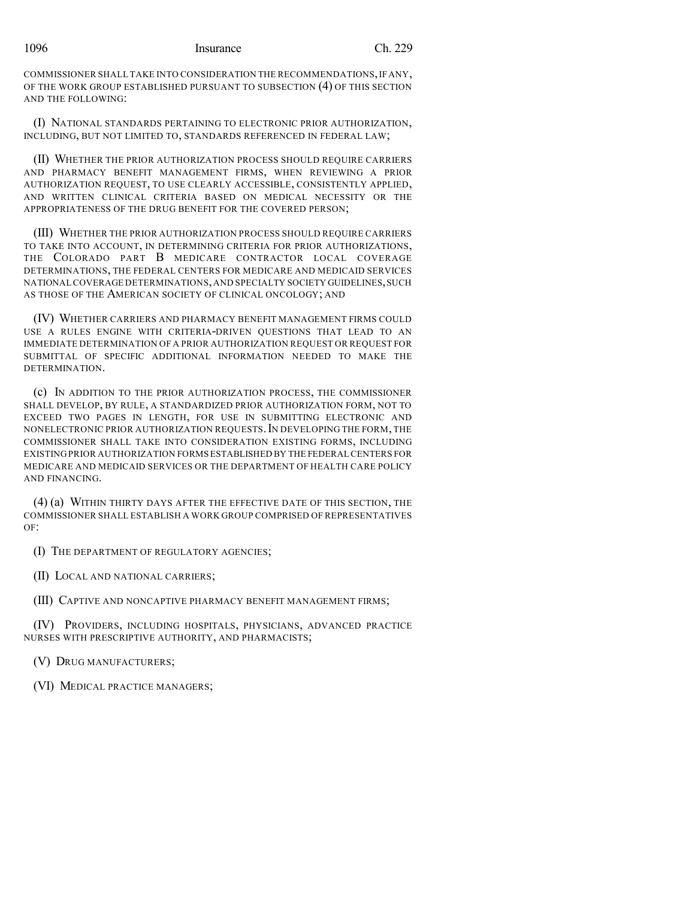COMMISSIONER SHALL TAKE INTO CONSIDERATION THE RECOMMENDATIONS,IF ANY, OF THE WORK GROUP ESTABLISHED PURSUANT TO SUBSECTION (4) OF THIS SECTION AND THE FOLLOWING:

(I) NATIONAL STANDARDS PERTAINING TO ELECTRONIC PRIOR AUTHORIZATION, INCLUDING, BUT NOT LIMITED TO, STANDARDS REFERENCED IN FEDERAL LAW;

(II) WHETHER THE PRIOR AUTHORIZATION PROCESS SHOULD REQUIRE CARRIERS AND PHARMACY BENEFIT MANAGEMENT FIRMS, WHEN REVIEWING A PRIOR AUTHORIZATION REQUEST, TO USE CLEARLY ACCESSIBLE, CONSISTENTLY APPLIED, AND WRITTEN CLINICAL CRITERIA BASED ON MEDICAL NECESSITY OR THE APPROPRIATENESS OF THE DRUG BENEFIT FOR THE COVERED PERSON;

(III) WHETHER THE PRIOR AUTHORIZATION PROCESS SHOULD REQUIRE CARRIERS TO TAKE INTO ACCOUNT, IN DETERMINING CRITERIA FOR PRIOR AUTHORIZATIONS, THE COLORADO PART B MEDICARE CONTRACTOR LOCAL COVERAGE DETERMINATIONS, THE FEDERAL CENTERS FOR MEDICARE AND MEDICAID SERVICES NATIONAL COVERAGE DETERMINATIONS,AND SPECIALTY SOCIETY GUIDELINES,SUCH AS THOSE OF THE AMERICAN SOCIETY OF CLINICAL ONCOLOGY; AND

(IV) WHETHER CARRIERS AND PHARMACY BENEFIT MANAGEMENT FIRMS COULD USE A RULES ENGINE WITH CRITERIA-DRIVEN QUESTIONS THAT LEAD TO AN IMMEDIATE DETERMINATION OF A PRIOR AUTHORIZATION REQUEST OR REQUEST FOR SUBMITTAL OF SPECIFIC ADDITIONAL INFORMATION NEEDED TO MAKE THE DETERMINATION.

(c) IN ADDITION TO THE PRIOR AUTHORIZATION PROCESS, THE COMMISSIONER SHALL DEVELOP, BY RULE, A STANDARDIZED PRIOR AUTHORIZATION FORM, NOT TO EXCEED TWO PAGES IN LENGTH, FOR USE IN SUBMITTING ELECTRONIC AND NONELECTRONIC PRIOR AUTHORIZATION REQUESTS. IN DEVELOPING THE FORM, THE COMMISSIONER SHALL TAKE INTO CONSIDERATION EXISTING FORMS, INCLUDING EXISTING PRIOR AUTHORIZATION FORMS ESTABLISHED BY THE FEDERAL CENTERS FOR MEDICARE AND MEDICAID SERVICES OR THE DEPARTMENT OF HEALTH CARE POLICY AND FINANCING.

(4) (a) WITHIN THIRTY DAYS AFTER THE EFFECTIVE DATE OF THIS SECTION, THE COMMISSIONER SHALL ESTABLISH A WORK GROUP COMPRISED OF REPRESENTATIVES OF:

(I) THE DEPARTMENT OF REGULATORY AGENCIES;

(II) LOCAL AND NATIONAL CARRIERS;

(III) CAPTIVE AND NONCAPTIVE PHARMACY BENEFIT MANAGEMENT FIRMS;

(IV) PROVIDERS, INCLUDING HOSPITALS, PHYSICIANS, ADVANCED PRACTICE NURSES WITH PRESCRIPTIVE AUTHORITY, AND PHARMACISTS;

(V) DRUG MANUFACTURERS;

(VI) MEDICAL PRACTICE MANAGERS;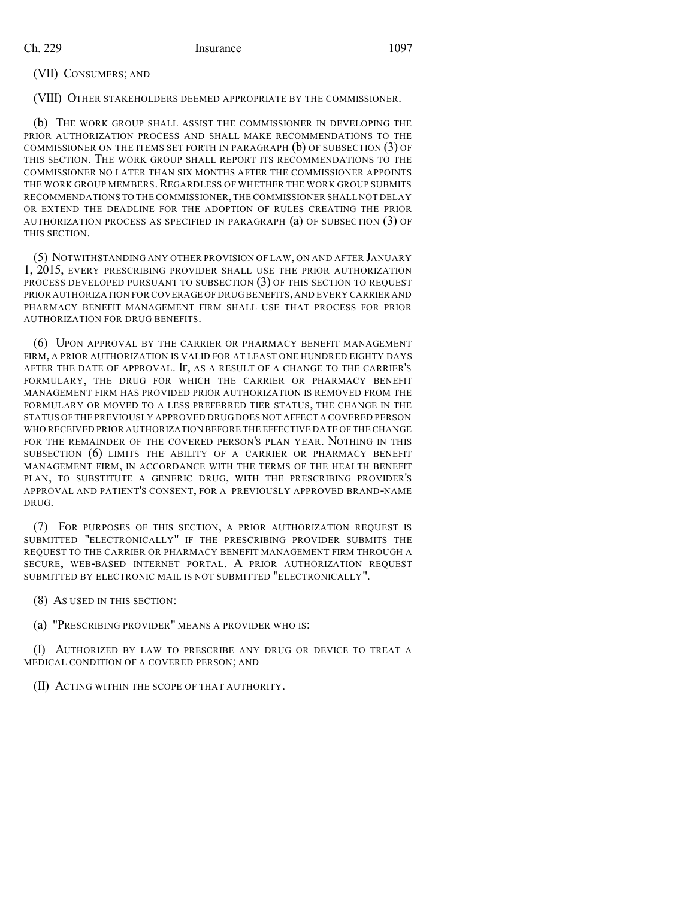(VII) CONSUMERS; AND

(VIII) OTHER STAKEHOLDERS DEEMED APPROPRIATE BY THE COMMISSIONER.

(b) THE WORK GROUP SHALL ASSIST THE COMMISSIONER IN DEVELOPING THE PRIOR AUTHORIZATION PROCESS AND SHALL MAKE RECOMMENDATIONS TO THE COMMISSIONER ON THE ITEMS SET FORTH IN PARAGRAPH (b) OF SUBSECTION (3) OF THIS SECTION. THE WORK GROUP SHALL REPORT ITS RECOMMENDATIONS TO THE COMMISSIONER NO LATER THAN SIX MONTHS AFTER THE COMMISSIONER APPOINTS THE WORK GROUP MEMBERS. REGARDLESS OF WHETHER THE WORK GROUP SUBMITS RECOMMENDATIONS TO THE COMMISSIONER,THE COMMISSIONER SHALL NOT DELAY OR EXTEND THE DEADLINE FOR THE ADOPTION OF RULES CREATING THE PRIOR AUTHORIZATION PROCESS AS SPECIFIED IN PARAGRAPH (a) OF SUBSECTION (3) OF THIS SECTION.

(5) NOTWITHSTANDING ANY OTHER PROVISION OF LAW, ON AND AFTER JANUARY 1, 2015, EVERY PRESCRIBING PROVIDER SHALL USE THE PRIOR AUTHORIZATION PROCESS DEVELOPED PURSUANT TO SUBSECTION (3) OF THIS SECTION TO REQUEST PRIOR AUTHORIZATION FOR COVERAGE OF DRUG BENEFITS,AND EVERY CARRIER AND PHARMACY BENEFIT MANAGEMENT FIRM SHALL USE THAT PROCESS FOR PRIOR AUTHORIZATION FOR DRUG BENEFITS.

(6) UPON APPROVAL BY THE CARRIER OR PHARMACY BENEFIT MANAGEMENT FIRM, A PRIOR AUTHORIZATION IS VALID FOR AT LEAST ONE HUNDRED EIGHTY DAYS AFTER THE DATE OF APPROVAL. IF, AS A RESULT OF A CHANGE TO THE CARRIER'S FORMULARY, THE DRUG FOR WHICH THE CARRIER OR PHARMACY BENEFIT MANAGEMENT FIRM HAS PROVIDED PRIOR AUTHORIZATION IS REMOVED FROM THE FORMULARY OR MOVED TO A LESS PREFERRED TIER STATUS, THE CHANGE IN THE STATUS OF THE PREVIOUSLY APPROVED DRUG DOES NOT AFFECT A COVERED PERSON WHO RECEIVED PRIOR AUTHORIZATION BEFORE THE EFFECTIVE DATE OF THE CHANGE FOR THE REMAINDER OF THE COVERED PERSON'S PLAN YEAR. NOTHING IN THIS SUBSECTION (6) LIMITS THE ABILITY OF A CARRIER OR PHARMACY BENEFIT MANAGEMENT FIRM, IN ACCORDANCE WITH THE TERMS OF THE HEALTH BENEFIT PLAN, TO SUBSTITUTE A GENERIC DRUG, WITH THE PRESCRIBING PROVIDER'S APPROVAL AND PATIENT'S CONSENT, FOR A PREVIOUSLY APPROVED BRAND-NAME DRUG.

(7) FOR PURPOSES OF THIS SECTION, A PRIOR AUTHORIZATION REQUEST IS SUBMITTED "ELECTRONICALLY" IF THE PRESCRIBING PROVIDER SUBMITS THE REQUEST TO THE CARRIER OR PHARMACY BENEFIT MANAGEMENT FIRM THROUGH A SECURE, WEB-BASED INTERNET PORTAL. A PRIOR AUTHORIZATION REQUEST SUBMITTED BY ELECTRONIC MAIL IS NOT SUBMITTED "ELECTRONICALLY".

(8) AS USED IN THIS SECTION:

(a) "PRESCRIBING PROVIDER" MEANS A PROVIDER WHO IS:

(I) AUTHORIZED BY LAW TO PRESCRIBE ANY DRUG OR DEVICE TO TREAT A MEDICAL CONDITION OF A COVERED PERSON; AND

(II) ACTING WITHIN THE SCOPE OF THAT AUTHORITY.